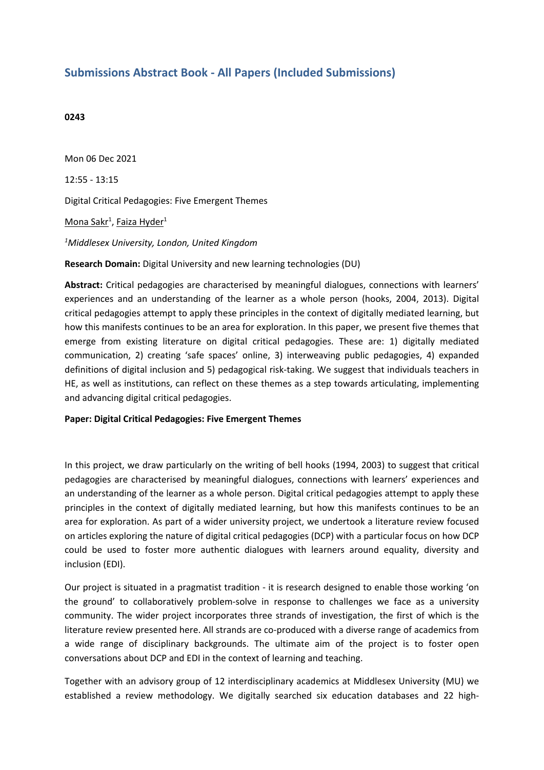# **Submissions Abstract Book - All Papers (Included Submissions)**

### **0243**

Mon 06 Dec 2021 12:55 - 13:15 Digital Critical Pedagogies: Five Emergent Themes <u>Mona Sakr<sup>1</sup>, Faiza Hyder</u><sup>1</sup> *<sup>1</sup>Middlesex University, London, United Kingdom*

**Research Domain:** Digital University and new learning technologies (DU)

**Abstract:** Critical pedagogies are characterised by meaningful dialogues, connections with learners' experiences and an understanding of the learner as <sup>a</sup> whole person (hooks, 2004, 2013). Digital critical pedagogies attempt to apply these principles in the context of digitally mediated learning, but how this manifests continues to be an area for exploration. In this paper, we present five themes that emerge from existing literature on digital critical pedagogies. These are: 1) digitally mediated communication, 2) creating 'safe spaces' online, 3) interweaving public pedagogies, 4) expanded definitions of digital inclusion and 5) pedagogical risk-taking. We suggest that individuals teachers in HE, as well as institutions, can reflect on these themes as <sup>a</sup> step towards articulating, implementing and advancing digital critical pedagogies.

### **Paper: Digital Critical Pedagogies: Five Emergent Themes**

In this project, we draw particularly on the writing of bell hooks (1994, 2003) to suggest that critical pedagogies are characterised by meaningful dialogues, connections with learners' experiences and an understanding of the learner as <sup>a</sup> whole person. Digital critical pedagogies attempt to apply these principles in the context of digitally mediated learning, but how this manifests continues to be an area for exploration. As part of <sup>a</sup> wider university project, we undertook <sup>a</sup> literature review focused on articles exploring the nature of digital critical pedagogies (DCP) with <sup>a</sup> particular focus on how DCP could be used to foster more authentic dialogues with learners around equality, diversity and inclusion (EDI).

Our project is situated in <sup>a</sup> pragmatist tradition - it is research designed to enable those working 'on the ground' to collaboratively problem-solve in response to challenges we face as <sup>a</sup> university community. The wider project incorporates three strands of investigation, the first of which is the literature review presented here. All strands are co-produced with <sup>a</sup> diverse range of academics from <sup>a</sup> wide range of disciplinary backgrounds. The ultimate aim of the project is to foster open conversations about DCP and EDI in the context of learning and teaching.

Together with an advisory group of 12 interdisciplinary academics at Middlesex University (MU) we established <sup>a</sup> review methodology. We digitally searched six education databases and 22 high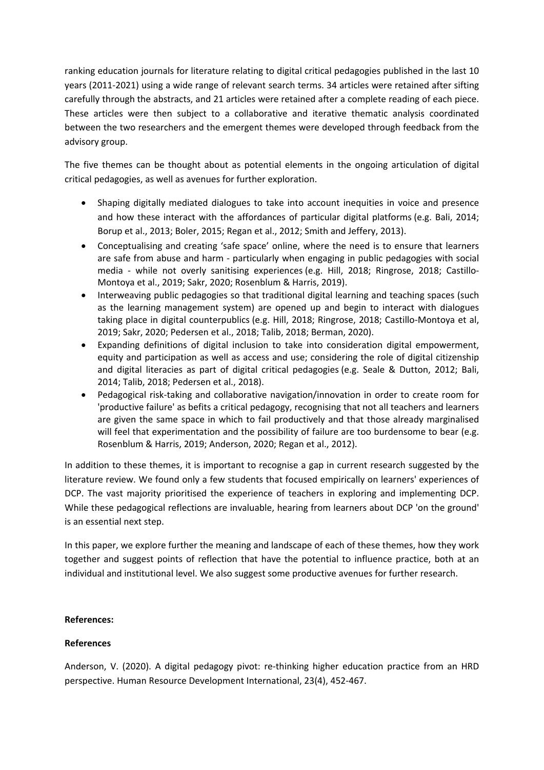ranking education journals for literature relating to digital critical pedagogies published in the last 10 years (2011-2021) using <sup>a</sup> wide range of relevant search terms. 34 articles were retained after sifting carefully through the abstracts, and 21 articles were retained after <sup>a</sup> complete reading of each piece. These articles were then subject to <sup>a</sup> collaborative and iterative thematic analysis coordinated between the two researchers and the emergent themes were developed through feedback from the advisory group.

The five themes can be thought about as potential elements in the ongoing articulation of digital critical pedagogies, as well as avenues for further exploration.

- 0 Shaping digitally mediated dialogues to take into account inequities in voice and presence and how these interact with the affordances of particular digital platforms (e.g. Bali, 2014; Borup et al., 2013; Boler, 2015; Regan et al., 2012; Smith and Jeffery, 2013).
- Conceptualising and creating 'safe space' online, where the need is to ensure that learners are safe from abuse and harm - particularly when engaging in public pedagogies with social media - while not overly sanitising experiences (e.g. Hill, 2018; Ringrose, 2018; Castillo-Montoya et al., 2019; Sakr, 2020; Rosenblum & Harris, 2019).
- Interweaving public pedagogies so that traditional digital learning and teaching spaces (such as the learning management system) are opened up and begin to interact with dialogues taking place in digital counterpublics (e.g. Hill, 2018; Ringrose, 2018; Castillo-Montoya et al, 2019; Sakr, 2020; Pedersen et al., 2018; Talib, 2018; Berman, 2020).
- Expanding definitions of digital inclusion to take into consideration digital empowerment, equity and participation as well as access and use; considering the role of digital citizenship and digital literacies as part of digital critical pedagogies (e.g. Seale & Dutton, 2012; Bali, 2014; Talib, 2018; Pedersen et al., 2018).
- Pedagogical risk-taking and collaborative navigation/innovation in order to create room for 'productive failure' as befits <sup>a</sup> critical pedagogy, recognising that not all teachers and learners are given the same space in which to fail productively and that those already marginalised will feel that experimentation and the possibility of failure are too burdensome to bear (e.g. Rosenblum & Harris, 2019; Anderson, 2020; Regan et al., 2012).

In addition to these themes, it is important to recognise <sup>a</sup> gap in current research suggested by the literature review. We found only <sup>a</sup> few students that focused empirically on learners' experiences of DCP. The vast majority prioritised the experience of teachers in exploring and implementing DCP. While these pedagogical reflections are invaluable, hearing from learners about DCP 'on the ground' is an essential next step.

In this paper, we explore further the meaning and landscape of each of these themes, how they work together and suggest points of reflection that have the potential to influence practice, both at an individual and institutional level. We also suggest some productive avenues for further research.

## **References:**

## **References**

Anderson, V. (2020). A digital pedagogy pivot: re-thinking higher education practice from an HRD perspective. Human Resource Development International, 23(4), 452-467.